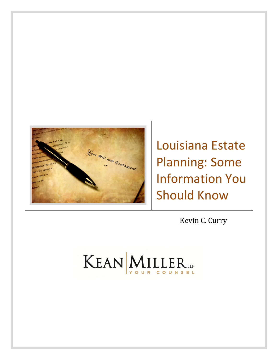

Louisiana Estate Planning: Some Information You Should Know

Kevin C. Curry

# KEAN MILLER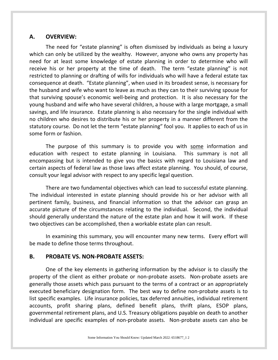## **A. OVERVIEW:**

The need for "estate planning" is often dismissed by individuals as being a luxury which can only be utilized by the wealthy. However, anyone who owns any property has need for at least some knowledge of estate planning in order to determine who will receive his or her property at the time of death. The term "estate planning" is not restricted to planning or drafting of wills for individuals who will have a federal estate tax consequence at death. "Estate planning", when used in its broadest sense, is necessary for the husband and wife who want to leave as much as they can to their surviving spouse for that surviving spouse's economic well-being and protection. It is also necessary for the young husband and wife who have several children, a house with a large mortgage, a small savings, and life insurance. Estate planning is also necessary for the single individual with no children who desires to distribute his or her property in a manner different from the statutory course. Do not let the term "estate planning" fool you. It applies to each of us in some form or fashion.

The purpose of this summary is to provide you with some information and education with respect to estate planning in Louisiana. This summary is not all encompassing but is intended to give you the basics with regard to Louisiana law and certain aspects of federal law as those laws affect estate planning. You should, of course, consult your legal advisor with respect to any specific legal question.

There are two fundamental objectives which can lead to successful estate planning. The individual interested in estate planning should provide his or her advisor with all pertinent family, business, and financial information so that the advisor can grasp an accurate picture of the circumstances relating to the individual. Second, the individual should generally understand the nature of the estate plan and how it will work. If these two objectives can be accomplished, then a workable estate plan can result.

In examining this summary, you will encounter many new terms. Every effort will be made to define those terms throughout.

## **B. PROBATE VS. NON-PROBATE ASSETS:**

One of the key elements in gathering information by the advisor is to classify the property of the client as either probate or non-probate assets. Non-probate assets are generally those assets which pass pursuant to the terms of a contract or an appropriately executed beneficiary designation form. The best way to define non-probate assets is to list specific examples. Life insurance policies, tax deferred annuities, individual retirement accounts, profit sharing plans, defined benefit plans, thrift plans, ESOP plans, governmental retirement plans, and U.S. Treasury obligations payable on death to another individual are specific examples of non-probate assets. Non-probate assets can also be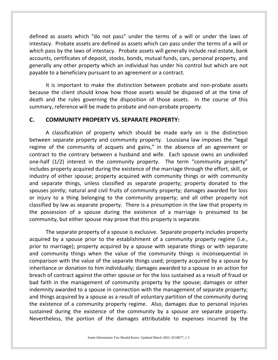defined as assets which "do not pass" under the terms of a will or under the laws of intestacy. Probate assets are defined as assets which can pass under the terms of a will or which pass by the laws of intestacy. Probate assets will generally include real estate, bank accounts, certificates of deposit, stocks, bonds, mutual funds, cars, personal property, and generally any other property which an individual has under his control but which are not payable to a beneficiary pursuant to an agreement or a contract.

It is important to make the distinction between probate and non-probate assets because the client should know how those assets would be disposed of at the time of death and the rules governing the disposition of those assets. In the course of this summary, reference will be made to probate and non-probate property.

## **C. COMMUNITY PROPERTY VS. SEPARATE PROPERTY:**

A classification of property which should be made early on is the distinction between separate property and community property. Louisiana law imposes the "legal regime of the community of acquets and gains," in the absence of an agreement or contract to the contrary between a husband and wife. Each spouse owns an undivided one-half (1/2) interest in the community property. The term "community property" includes property acquired during the existence of the marriage through the effort, skill, or industry of either spouse; property acquired with community things or with community and separate things, unless classified as separate property; property donated to the spouses jointly; natural and civil fruits of community property; damages awarded for loss or injury to a thing belonging to the community property; and all other property not classified by law as separate property. There is a presumption in the law that property in the possession of a spouse during the existence of a marriage is presumed to be community, but either spouse may prove that this property is separate.

The separate property of a spouse is exclusive. Separate property includes property acquired by a spouse prior to the establishment of a community property regime (i.e., prior to marriage); property acquired by a spouse with separate things or with separate and community things when the value of the community things is inconsequential in comparison with the value of the separate things used; property acquired by a spouse by inheritance or donation to him individually; damages awarded to a spouse in an action for breach of contract against the other spouse or for the loss sustained as a result of fraud or bad faith in the management of community property by the spouse; damages or other indemnity awarded to a spouse in connection with the management of separate property; and things acquired by a spouse as a result of voluntary partition of the community during the existence of a community property regime. Also, damages due to personal injuries sustained during the existence of the community by a spouse are separate property. Nevertheless, the portion of the damages attributable to expenses incurred by the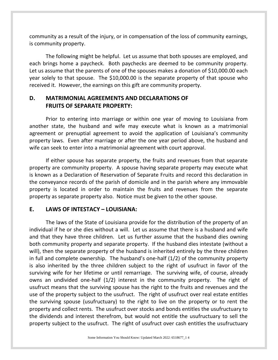community as a result of the injury, or in compensation of the loss of community earnings, is community property.

The following might be helpful. Let us assume that both spouses are employed, and each brings home a paycheck. Both paychecks are deemed to be community property. Let us assume that the parents of one of the spouses makes a donation of \$10,000.00 each year solely to that spouse. The \$10,000.00 is the separate property of that spouse who received it. However, the earnings on this gift are community property.

## **D. MATRIMONIAL AGREEMENTS AND DECLARATIONS OF FRUITS OF SEPARATE PROPERTY:**

Prior to entering into marriage or within one year of moving to Louisiana from another state, the husband and wife may execute what is known as a matrimonial agreement or prenuptial agreement to avoid the application of Louisiana's community property laws. Even after marriage or after the one year period above, the husband and wife can seek to enter into a matrimonial agreement with court approval.

If either spouse has separate property, the fruits and revenues from that separate property are community property. A spouse having separate property may execute what is known as a Declaration of Reservation of Separate Fruits and record this declaration in the conveyance records of the parish of domicile and in the parish where any immovable property is located in order to maintain the fruits and revenues from the separate property as separate property also. Notice must be given to the other spouse.

## **E. LAWS OF INTESTACY – LOUISIANA:**

The laws of the State of Louisiana provide for the distribution of the property of an individual if he or she dies without a will. Let us assume that there is a husband and wife and that they have three children. Let us further assume that the husband dies owning both community property and separate property. If the husband dies intestate (without a will), then the separate property of the husband is inherited entirely by the three children in full and complete ownership. The husband's one-half (1/2) of the community property is also inherited by the three children subject to the right of usufruct in favor of the surviving wife for her lifetime or until remarriage. The surviving wife, of course, already owns an undivided one-half (1/2) interest in the community property. The right of usufruct means that the surviving spouse has the right to the fruits and revenues and the use of the property subject to the usufruct. The right of usufruct over real estate entitles the surviving spouse (usufructuary) to the right to live on the property or to rent the property and collect rents. The usufruct over stocks and bonds entitles the usufructuary to the dividends and interest therefrom, but would not entitle the usufructuary to sell the property subject to the usufruct. The right of usufruct over cash entitles the usufructuary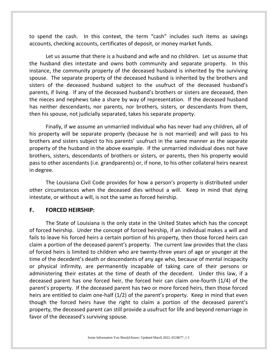to spend the cash. In this context, the term "cash" includes such items as savings accounts, checking accounts, certificates of deposit, or money market funds.

Let us assume that there is a husband and wife and no children. Let us assume that the husband dies intestate and owns both community and separate property. In this instance, the community property of the deceased husband is inherited by the surviving spouse. The separate property of the deceased husband is inherited by the brothers and sisters of the deceased husband subject to the usufruct of the deceased husband's parents, if living. If any of the deceased husband's brothers or sisters are deceased, then the nieces and nephews take a share by way of representation. If the deceased husband has neither descendants, nor parents, nor brothers, sisters, or descendants from them, then his spouse, not judicially separated, takes his separate property.

Finally, if we assume an unmarried individual who has never had any children, all of his property will be separate property (because he is not married) and will pass to his brothers and sisters subject to his parents' usufruct in the same manner as the separate property of the husband in the above example. If the unmarried individual does not have brothers, sisters, descendants of brothers or sisters, or parents, then his property would pass to other ascendants (i.e. grandparents) or, if none, to his other collateral heirs nearest in degree.

The Louisiana Civil Code provides for how a person's property is distributed under other circumstances when the deceased dies without a will. Keep in mind that dying intestate, or without a will, is not the same as forced heirship.

#### **F. FORCED HEIRSHIP:**

The State of Louisiana is the only state in the United States which has the concept of forced heirship. Under the concept of forced heirship, if an individual makes a will and fails to leave his forced heirs a certain portion of his property, then those forced heirs can claim a portion of the deceased parent's property. The current law provides that the class of forced heirs is limited to children who are twenty-three years of age or younger at the time of the decedent's death or descendants of any age who, because of mental incapacity or physical infirmity, are permanently incapable of taking care of their persons or administering their estates at the time of death of the decedent. Under this law, if a deceased parent has one forced heir, the forced heir can claim one-fourth (1/4) of the parent's property. If the deceased parent has two or more forced heirs, then those forced heirs are entitled to claim one-half (1/2) of the parent's property. Keep in mind that even though the forced heirs have the right to claim a portion of the deceased parent's property, the deceased parent can still provide a usufruct for life and beyond remarriage in favor of the deceased's surviving spouse.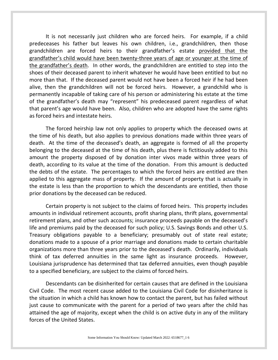It is not necessarily just children who are forced heirs. For example, if a child predeceases his father but leaves his own children, i.e., grandchildren, then those grandchildren are forced heirs to their grandfather's estate provided that the grandfather's child would have been twenty-three years of age or younger at the time of the grandfather's death. In other words, the grandchildren are entitled to step into the shoes of their deceased parent to inherit whatever he would have been entitled to but no more than that. If the deceased parent would not have been a forced heir if he had been alive, then the grandchildren will not be forced heirs. However, a grandchild who is permanently incapable of taking care of his person or administering his estate at the time of the grandfather's death may "represent" his predeceased parent regardless of what that parent's age would have been. Also, children who are adopted have the same rights as forced heirs and intestate heirs.

The forced heirship law not only applies to property which the deceased owns at the time of his death, but also applies to previous donations made within three years of death. At the time of the deceased's death, an aggregate is formed of all the property belonging to the deceased at the time of his death, plus there is fictitiously added to this amount the property disposed of by donation inter vivos made within three years of death, according to its value at the time of the donation. From this amount is deducted the debts of the estate. The percentages to which the forced heirs are entitled are then applied to this aggregate mass of property. If the amount of property that is actually in the estate is less than the proportion to which the descendants are entitled, then those prior donations by the deceased can be reduced.

Certain property is not subject to the claims of forced heirs. This property includes amounts in individual retirement accounts, profit sharing plans, thrift plans, governmental retirement plans, and other such accounts; insurance proceeds payable on the deceased's life and premiums paid by the deceased for such policy; U.S. Savings Bonds and other U.S. Treasury obligations payable to a beneficiary; presumably out of state real estate; donations made to a spouse of a prior marriage and donations made to certain charitable organizations more than three years prior to the deceased's death. Ordinarily, individuals think of tax deferred annuities in the same light as insurance proceeds. However, Louisiana jurisprudence has determined that tax deferred annuities, even though payable to a specified beneficiary, are subject to the claims of forced heirs.

Descendants can be disinherited for certain causes that are defined in the Louisiana Civil Code. The most recent cause added to the Louisiana Civil Code for disinheritance is the situation in which a child has known how to contact the parent, but has failed without just cause to communicate with the parent for a period of two years after the child has attained the age of majority, except when the child is on active duty in any of the military forces of the United States.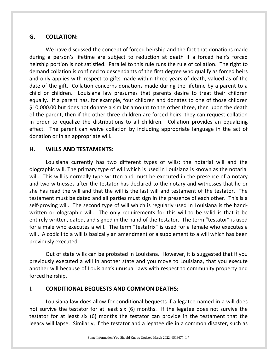## **G. COLLATION:**

We have discussed the concept of forced heirship and the fact that donations made during a person's lifetime are subject to reduction at death if a forced heir's forced heirship portion is not satisfied. Parallel to this rule runs the rule of collation. The right to demand collation is confined to descendants of the first degree who qualify as forced heirs and only applies with respect to gifts made within three years of death, valued as of the date of the gift. Collation concerns donations made during the lifetime by a parent to a child or children. Louisiana law presumes that parents desire to treat their children equally. If a parent has, for example, four children and donates to one of those children \$10,000.00 but does not donate a similar amount to the other three, then upon the death of the parent, then if the other three children are forced heirs, they can request collation in order to equalize the distributions to all children. Collation provides an equalizing effect. The parent can waive collation by including appropriate language in the act of donation or in an appropriate will.

## **H. WILLS AND TESTAMENTS:**

Louisiana currently has two different types of wills: the notarial will and the olographic will. The primary type of will which is used in Louisiana is known as the notarial will. This will is normally type-written and must be executed in the presence of a notary and two witnesses after the testator has declared to the notary and witnesses that he or she has read the will and that the will is the last will and testament of the testator. The testament must be dated and all parties must sign in the presence of each other. This is a self-proving will. The second type of will which is regularly used in Louisiana is the handwritten or olographic will. The only requirements for this will to be valid is that it be entirely written, dated, and signed in the hand of the testator. The term "testator" is used for a male who executes a will. The term "testatrix" is used for a female who executes a will. A codicil to a will is basically an amendment or a supplement to a will which has been previously executed.

Out of state wills can be probated in Louisiana. However, it is suggested that if you previously executed a will in another state and you move to Louisiana, that you execute another will because of Louisiana's unusual laws with respect to community property and forced heirship.

## **I. CONDITIONAL BEQUESTS AND COMMON DEATHS:**

Louisiana law does allow for conditional bequests if a legatee named in a will does not survive the testator for at least six (6) months. If the legatee does not survive the testator for at least six (6) months the testator can provide in the testament that the legacy will lapse. Similarly, if the testator and a legatee die in a common disaster, such as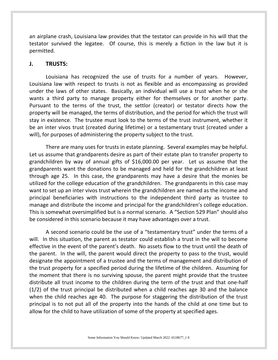an airplane crash, Louisiana law provides that the testator can provide in his will that the testator survived the legatee. Of course, this is merely a fiction in the law but it is permitted.

#### **J. TRUSTS:**

Louisiana has recognized the use of trusts for a number of years. However, Louisiana law with respect to trusts is not as flexible and as encompassing as provided under the laws of other states. Basically, an individual will use a trust when he or she wants a third party to manage property either for themselves or for another party. Pursuant to the terms of the trust, the settlor (creator) or testator directs how the property will be managed, the terms of distribution, and the period for which the trust will stay in existence. The trustee must look to the terms of the trust instrument, whether it be an inter vivos trust (created during lifetime) or a testamentary trust (created under a will), for purposes of administering the property subject to the trust.

There are many uses for trusts in estate planning. Several examples may be helpful. Let us assume that grandparents desire as part of their estate plan to transfer property to grandchildren by way of annual gifts of \$16,000.00 per year. Let us assume that the grandparents want the donations to be managed and held for the grandchildren at least through age 25. In this case, the grandparents may have a desire that the monies be utilized for the college education of the grandchildren. The grandparents in this case may want to set up an inter vivos trust wherein the grandchildren are named as the income and principal beneficiaries with instructions to the independent third party as trustee to manage and distribute the income and principal for the grandchildren's college education. This is somewhat oversimplified but is a normal scenario. A "Section 529 Plan" should also be considered in this scenario because it may have advantages over a trust.

A second scenario could be the use of a "testamentary trust" under the terms of a will. In this situation, the parent as testator could establish a trust in the will to become effective in the event of the parent's death. No assets flow to the trust until the death of the parent. In the will, the parent would direct the property to pass to the trust, would designate the appointment of a trustee and the terms of management and distribution of the trust property for a specified period during the lifetime of the children. Assuming for the moment that there is no surviving spouse, the parent might provide that the trustee distribute all trust income to the children during the term of the trust and that one-half (1/2) of the trust principal be distributed when a child reaches age 30 and the balance when the child reaches age 40. The purpose for staggering the distribution of the trust principal is to not put all of the property into the hands of the child at one time but to allow for the child to have utilization of some of the property at specified ages.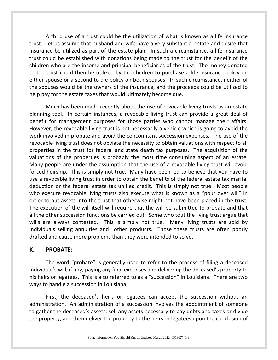A third use of a trust could be the utilization of what is known as a life insurance trust. Let us assume that husband and wife have a very substantial estate and desire that insurance be utilized as part of the estate plan. In such a circumstance, a life insurance trust could be established with donations being made to the trust for the benefit of the children who are the income and principal beneficiaries of the trust. The money donated to the trust could then be utilized by the children to purchase a life insurance policy on either spouse or a second to die policy on both spouses. In such circumstance, neither of the spouses would be the owners of the insurance, and the proceeds could be utilized to help pay for the estate taxes that would ultimately become due.

Much has been made recently about the use of revocable living trusts as an estate planning tool. In certain instances, a revocable living trust can provide a great deal of benefit for management purposes for those parties who cannot manage their affairs. However, the revocable living trust is not necessarily a vehicle which is going to avoid the work involved in probate and avoid the concomitant succession expenses. The use of the revocable living trust does not obviate the necessity to obtain valuations with respect to all properties in the trust for federal and state death tax purposes. The acquisition of the valuations of the properties is probably the most time consuming aspect of an estate. Many people are under the assumption that the use of a revocable living trust will avoid forced heirship. This is simply not true. Many have been led to believe that you have to use a revocable living trust in order to obtain the benefits of the federal estate tax marital deduction or the federal estate tax unified credit. This is simply not true. Most people who execute revocable living trusts also execute what is known as a "pour over will" in order to put assets into the trust that otherwise might not have been placed in the trust. The execution of the will itself will require that the will be submitted to probate and that all the other succession functions be carried out. Some who tout the living trust argue that wills are always contested. This is simply not true. Many living trusts are sold by individuals selling annuities and other products. Those these trusts are often poorly drafted and cause more problems than they were intended to solve.

#### **K. PROBATE:**

The word "probate" is generally used to refer to the process of filing a deceased individual's will, if any, paying any final expenses and delivering the deceased's property to his heirs or legatees. This is also referred to as a "succession" in Louisiana. There are two ways to handle a succession in Louisiana.

First, the deceased's heirs or legatees can accept the succession without an administration. An administration of a succession involves the appointment of someone to gather the deceased's assets, sell any assets necessary to pay debts and taxes or divide the property, and then deliver the property to the heirs or legatees upon the conclusion of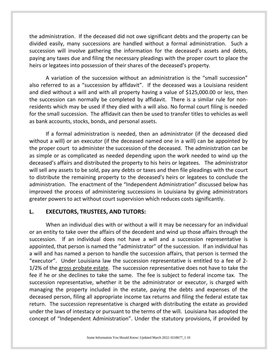the administration. If the deceased did not owe significant debts and the property can be divided easily, many successions are handled without a formal administration. Such a succession will involve gathering the information for the deceased's assets and debts, paying any taxes due and filing the necessary pleadings with the proper court to place the heirs or legatees into possession of their shares of the deceased's property.

A variation of the succession without an administration is the "small succession" also referred to as a "succession by affidavit". If the deceased was a Louisiana resident and died without a will and with all property having a value of \$125,000.00 or less, then the succession can normally be completed by affidavit. There is a similar rule for nonresidents which may be used if they died with a will also. No formal court filing is needed for the small succession. The affidavit can then be used to transfer titles to vehicles as well as bank accounts, stocks, bonds, and personal assets.

If a formal administration is needed, then an administrator (if the deceased died without a will) or an executor (if the deceased named one in a will) can be appointed by the proper court to administer the succession of the deceased. The administration can be as simple or as complicated as needed depending upon the work needed to wind up the deceased's affairs and distributed the property to his heirs or legatees. The administrator will sell any assets to be sold, pay any debts or taxes and then file pleadings with the court to distribute the remaining property to the deceased's heirs or legatees to conclude the administration. The enactment of the "Independent Administration" discussed below has improved the process of administering successions in Louisiana by giving administrators greater powers to act without court supervision which reduces costs significantly.

#### **L. EXECUTORS, TRUSTEES, AND TUTORS:**

When an individual dies with or without a will it may be necessary for an individual or an entity to take over the affairs of the decedent and wind up those affairs through the succession. If an individual does not have a will and a succession representative is appointed, that person is named the "administrator" of the succession. If an individual has a will and has named a person to handle the succession affairs, that person is termed the "executor". Under Louisiana law the succession representative is entitled to a fee of 2- 1/2% of the gross probate estate. The succession representative does not have to take the fee if he or she declines to take the same. The fee is subject to federal income tax. The succession representative, whether it be the administrator or executor, is charged with managing the property included in the estate, paying the debts and expenses of the deceased person, filing all appropriate income tax returns and filing the federal estate tax return. The succession representative is charged with distributing the estate as provided under the laws of intestacy or pursuant to the terms of the will. Louisiana has adopted the concept of "Independent Administration". Under the statutory provisions, if provided by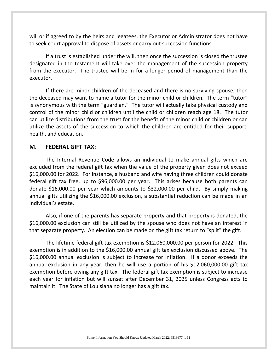will or if agreed to by the heirs and legatees, the Executor or Administrator does not have to seek court approval to dispose of assets or carry out succession functions.

If a trust is established under the will, then once the succession is closed the trustee designated in the testament will take over the management of the succession property from the executor. The trustee will be in for a longer period of management than the executor.

If there are minor children of the deceased and there is no surviving spouse, then the deceased may want to name a tutor for the minor child or children. The term "tutor" is synonymous with the term "guardian." The tutor will actually take physical custody and control of the minor child or children until the child or children reach age 18. The tutor can utilize distributions from the trust for the benefit of the minor child or children or can utilize the assets of the succession to which the children are entitled for their support, health, and education.

#### **M. FEDERAL GIFT TAX:**

The Internal Revenue Code allows an individual to make annual gifts which are excluded from the federal gift tax when the value of the property given does not exceed \$16,000.00 for 2022. For instance, a husband and wife having three children could donate federal gift tax free, up to \$96,000.00 per year. This arises because both parents can donate \$16,000.00 per year which amounts to \$32,000.00 per child. By simply making annual gifts utilizing the \$16,000.00 exclusion, a substantial reduction can be made in an individual's estate.

Also, if one of the parents has separate property and that property is donated, the \$16,000.00 exclusion can still be utilized by the spouse who does not have an interest in that separate property. An election can be made on the gift tax return to "split" the gift.

The lifetime federal gift tax exemption is \$12,060,000.00 per person for 2022. This exemption is in addition to the \$16,000.00 annual gift tax exclusion discussed above. The \$16,000.00 annual exclusion is subject to increase for inflation. If a donor exceeds the annual exclusion in any year, then he will use a portion of his \$12,060,000.00 gift tax exemption before owing any gift tax. The federal gift tax exemption is subject to increase each year for inflation but will sunset after December 31, 2025 unless Congress acts to maintain it. The State of Louisiana no longer has a gift tax.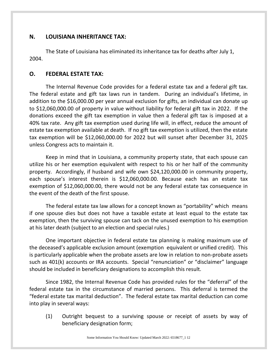## **N. LOUISIANA INHERITANCE TAX:**

The State of Louisiana has eliminated its inheritance tax for deaths after July 1, 2004.

#### **O. FEDERAL ESTATE TAX:**

The Internal Revenue Code provides for a federal estate tax and a federal gift tax. The federal estate and gift tax laws run in tandem. During an individual's lifetime, in addition to the \$16,000.00 per year annual exclusion for gifts, an individual can donate up to \$12,060,000.00 of property in value without liability for federal gift tax in 2022. If the donations exceed the gift tax exemption in value then a federal gift tax is imposed at a 40% tax rate. Any gift tax exemption used during life will, in effect, reduce the amount of estate tax exemption available at death. If no gift tax exemption is utilized, then the estate tax exemption will be \$12,060,000.00 for 2022 but will sunset after December 31, 2025 unless Congress acts to maintain it.

Keep in mind that in Louisiana, a community property state, that each spouse can utilize his or her exemption equivalent with respect to his or her half of the community property. Accordingly, if husband and wife own \$24,120,000.00 in community property, each spouse's interest therein is \$12,060,000.00. Because each has an estate tax exemption of \$12,060,000.00, there would not be any federal estate tax consequence in the event of the death of the first spouse.

The federal estate tax law allows for a concept known as "portability" which means if one spouse dies but does not have a taxable estate at least equal to the estate tax exemption, then the surviving spouse can tack on the unused exemption to his exemption at his later death (subject to an election and special rules.)

One important objective in federal estate tax planning is making maximum use of the deceased's applicable exclusion amount (exemption equivalent or unified credit). This is particularly applicable when the probate assets are low in relation to non-probate assets such as 401(k) accounts or IRA accounts. Special "renunciation" or "disclaimer" language should be included in beneficiary designations to accomplish this result.

Since 1982, the Internal Revenue Code has provided rules for the "deferral" of the federal estate tax in the circumstance of married persons. This deferral is termed the "federal estate tax marital deduction". The federal estate tax marital deduction can come into play in several ways:

(1) Outright bequest to a surviving spouse or receipt of assets by way of beneficiary designation form;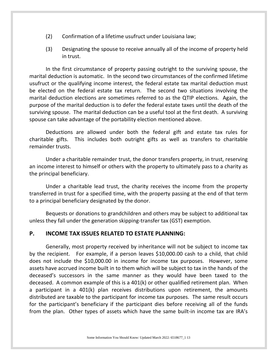- (2) Confirmation of a lifetime usufruct under Louisiana law;
- (3) Designating the spouse to receive annually all of the income of property held in trust.

In the first circumstance of property passing outright to the surviving spouse, the marital deduction is automatic. In the second two circumstances of the confirmed lifetime usufruct or the qualifying income interest, the federal estate tax marital deduction must be elected on the federal estate tax return. The second two situations involving the marital deduction elections are sometimes referred to as the QTIP elections. Again, the purpose of the marital deduction is to defer the federal estate taxes until the death of the surviving spouse. The marital deduction can be a useful tool at the first death. A surviving spouse can take advantage of the portability election mentioned above.

Deductions are allowed under both the federal gift and estate tax rules for charitable gifts. This includes both outright gifts as well as transfers to charitable remainder trusts.

Under a charitable remainder trust, the donor transfers property, in trust, reserving an income interest to himself or others with the property to ultimately pass to a charity as the principal beneficiary.

Under a charitable lead trust, the charity receives the income from the property transferred in trust for a specified time, with the property passing at the end of that term to a principal beneficiary designated by the donor.

Bequests or donations to grandchildren and others may be subject to additional tax unless they fall under the generation skipping-transfer tax (GST) exemption.

## **P. INCOME TAX ISSUES RELATED TO ESTATE PLANNING:**

Generally, most property received by inheritance will not be subject to income tax by the recipient. For example, if a person leaves \$10,000.00 cash to a child, that child does not include the \$10,000.00 in income for income tax purposes. However, some assets have accrued income built in to them which will be subject to tax in the hands of the deceased's successors in the same manner as they would have been taxed to the deceased. A common example of this is a 401(k) or other qualified retirement plan. When a participant in a 401(k) plan receives distributions upon retirement, the amounts distributed are taxable to the participant for income tax purposes. The same result occurs for the participant's beneficiary if the participant dies before receiving all of the funds from the plan. Other types of assets which have the same built-in income tax are IRA's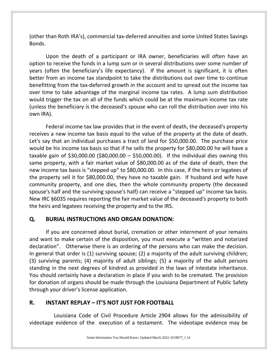(other than Roth IRA's), commercial tax-deferred annuities and some United States Savings Bonds.

Upon the death of a participant or IRA owner, beneficiaries will often have an option to receive the funds in a lump sum or in several distributions over some number of years (often the beneficiary's life expectancy). If the amount is significant, it is often better from an income tax standpoint to take the distributions out over time to continue benefitting from the tax-deferred growth in the account and to spread out the income tax over time to take advantage of the marginal income tax rates. A lump sum distribution would trigger the tax on all of the funds which could be at the maximum income tax rate (unless the beneficiary is the deceased's spouse who can roll the distribution over into his own IRA).

Federal income tax law provides that in the event of death, the deceased's property receives a new income tax basis equal to the value of the property at the date of death. Let's say that an individual purchases a tract of land for \$50,000.00. The purchase price would be his income tax basis so that if he sells the property for \$80,000.00 he will have a taxable gain of \$30,000.00 (\$80,000.00 – \$50,000.00). If the individual dies owning this same property, with a fair market value of \$80,000.00 as of the date of death, then the new income tax basis is "stepped up" to \$80,000.00. In this case, if the heirs or legatees of the property sell it for \$80,000.00, they have no taxable gain. If husband and wife have community property, and one dies, then the whole community property (the deceased spouse's half and the surviving spouse's half) can receive a "stepped up" income tax basis. New IRC §6035 requires reporting the fair market value of the deceased's property to both the heirs and legatees receiving the property and to the IRS.

## **Q. BURIAL INSTRUCTIONS AND ORGAN DONATION:**

If you are concerned about burial, cremation or other internment of your remains and want to make certain of the disposition, you must execute a "written and notarized declaration". Otherwise there is an ordering of the persons who can make the decision. In general that order is (1) surviving spouse; (2) a majority of the adult surviving children; (3) surviving parents; (4) majority of adult siblings; (5) a majority of the adult persons standing in the next degrees of kindred as provided in the laws of intestate inheritance. You should certainly have a declaration in place if you wish to be cremated. The provision for donation of organs should be made through the Louisiana Department of Public Safety through your driver's license application.

## **R. INSTANT REPLAY – IT'S NOT JUST FOR FOOTBALL**

Louisiana Code of Civil Procedure Article 2904 allows for the admissibility of videotape evidence of the execution of a testament. The videotape evidence may be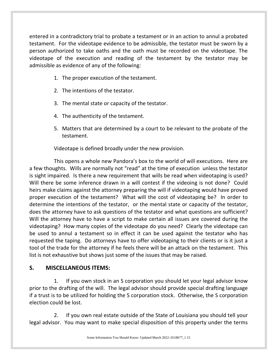entered in a contradictory trial to probate a testament or in an action to annul a probated testament. For the videotape evidence to be admissible, the testator must be sworn by a person authorized to take oaths and the oath must be recorded on the videotape. The videotape of the execution and reading of the testament by the testator may be admissible as evidence of any of the following:

- 1. The proper execution of the testament.
- 2. The intentions of the testator.
- 3. The mental state or capacity of the testator.
- 4. The authenticity of the testament.
- 5. Matters that are determined by a court to be relevant to the probate of the testament.

Videotape is defined broadly under the new provision.

This opens a whole new Pandora's box to the world of will executions. Here are a few thoughts. Wills are normally not "read" at the time of execution unless the testator is sight impaired. Is there a new requirement that wills be read when videotaping is used? Will there be some inference drawn in a will contest if the videoing is not done? Could heirs make claims against the attorney preparing the will if videotaping would have proved proper execution of the testament? What will the cost of videotaping be? In order to determine the intentions of the testator, or the mental state or capacity of the testator, does the attorney have to ask questions of the testator and what questions are sufficient? Will the attorney have to have a script to make certain all issues are covered during the videotaping? How many copies of the videotape do you need? Clearly the videotape can be used to annul a testament so in effect it can be used against the testator who has requested the taping. Do attorneys have to offer videotaping to their clients or is it just a tool of the trade for the attorney if he feels there will be an attack on the testament. This list is not exhaustive but shows just some of the issues that may be raised.

## **S. MISCELLANEOUS ITEMS:**

1. If you own stock in an S corporation you should let your legal advisor know prior to the drafting of the will. The legal advisor should provide special drafting language if a trust is to be utilized for holding the S corporation stock. Otherwise, the S corporation election could be lost.

2. If you own real estate outside of the State of Louisiana you should tell your legal advisor. You may want to make special disposition of this property under the terms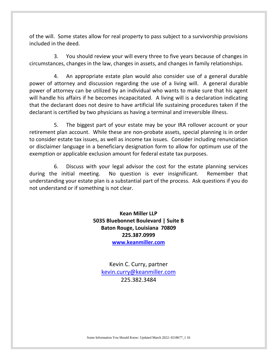of the will. Some states allow for real property to pass subject to a survivorship provisions included in the deed.

3. You should review your will every three to five years because of changes in circumstances, changes in the law, changes in assets, and changes in family relationships.

4. An appropriate estate plan would also consider use of a general durable power of attorney and discussion regarding the use of a living will. A general durable power of attorney can be utilized by an individual who wants to make sure that his agent will handle his affairs if he becomes incapacitated. A living will is a declaration indicating that the declarant does not desire to have artificial life sustaining procedures taken if the declarant is certified by two physicians as having a terminal and irreversible illness.

5. The biggest part of your estate may be your IRA rollover account or your retirement plan account. While these are non-probate assets, special planning is in order to consider estate tax issues, as well as income tax issues. Consider including renunciation or disclaimer language in a beneficiary designation form to allow for optimum use of the exemption or applicable exclusion amount for federal estate tax purposes.

6. Discuss with your legal advisor the cost for the estate planning services during the initial meeting. No question is ever insignificant. Remember that understanding your estate plan is a substantial part of the process. Ask questions if you do not understand or if something is not clear.

> **Kean Miller LLP 5035 Bluebonnet Boulevard | Suite B Baton Rouge, Louisiana 70809 225.387.0999 [www.keanmiller.com](http://www.keanmiller.com/)**

Kevin C. Curry, partner [kevin.curry@keanmiller.com](mailto:kevin.curry@keanmiller.com) 225.382.3484